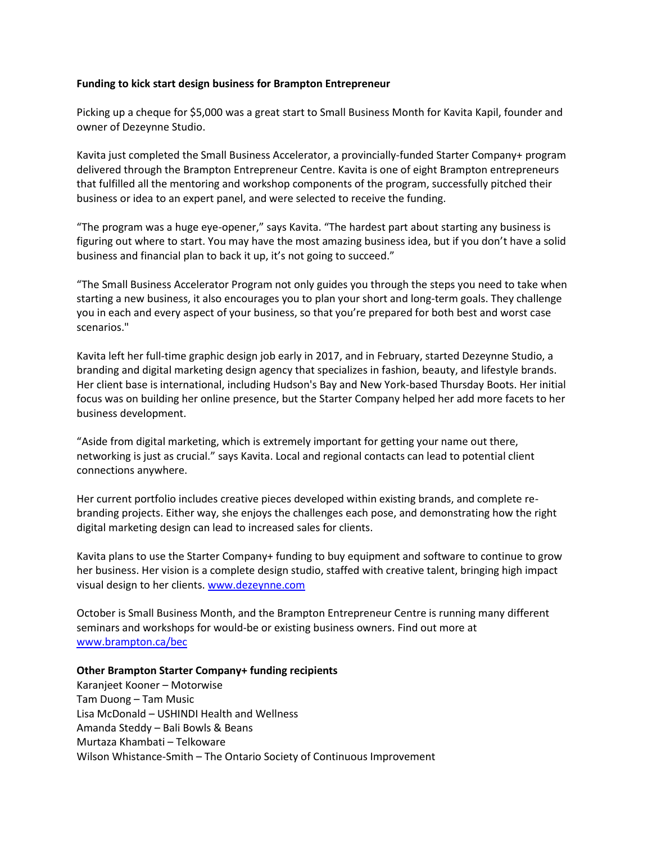## **Funding to kick start design business for Brampton Entrepreneur**

Picking up a cheque for \$5,000 was a great start to Small Business Month for Kavita Kapil, founder and owner of Dezeynne Studio.

Kavita just completed the Small Business Accelerator, a provincially-funded Starter Company+ program delivered through the Brampton Entrepreneur Centre. Kavita is one of eight Brampton entrepreneurs that fulfilled all the mentoring and workshop components of the program, successfully pitched their business or idea to an expert panel, and were selected to receive the funding.

"The program was a huge eye-opener," says Kavita. "The hardest part about starting any business is figuring out where to start. You may have the most amazing business idea, but if you don't have a solid business and financial plan to back it up, it's not going to succeed."

"The Small Business Accelerator Program not only guides you through the steps you need to take when starting a new business, it also encourages you to plan your short and long-term goals. They challenge you in each and every aspect of your business, so that you're prepared for both best and worst case scenarios."

Kavita left her full-time graphic design job early in 2017, and in February, started Dezeynne Studio, a branding and digital marketing design agency that specializes in fashion, beauty, and lifestyle brands. Her client base is international, including Hudson's Bay and New York-based Thursday Boots. Her initial focus was on building her online presence, but the Starter Company helped her add more facets to her business development.

"Aside from digital marketing, which is extremely important for getting your name out there, networking is just as crucial." says Kavita. Local and regional contacts can lead to potential client connections anywhere.

Her current portfolio includes creative pieces developed within existing brands, and complete rebranding projects. Either way, she enjoys the challenges each pose, and demonstrating how the right digital marketing design can lead to increased sales for clients.

Kavita plans to use the Starter Company+ funding to buy equipment and software to continue to grow her business. Her vision is a complete design studio, staffed with creative talent, bringing high impact visual design to her clients. [www.dezeynne.com](http://www.dezeynne.com/)

October is Small Business Month, and the Brampton Entrepreneur Centre is running many different seminars and workshops for would-be or existing business owners. Find out more at [www.brampton.ca/bec](http://www.brampton.ca/bec)

## **Other Brampton Starter Company+ funding recipients**

Karanjeet Kooner – Motorwise Tam Duong – Tam Music Lisa McDonald – USHINDI Health and Wellness Amanda Steddy – Bali Bowls & Beans Murtaza Khambati – Telkoware Wilson Whistance-Smith – The Ontario Society of Continuous Improvement